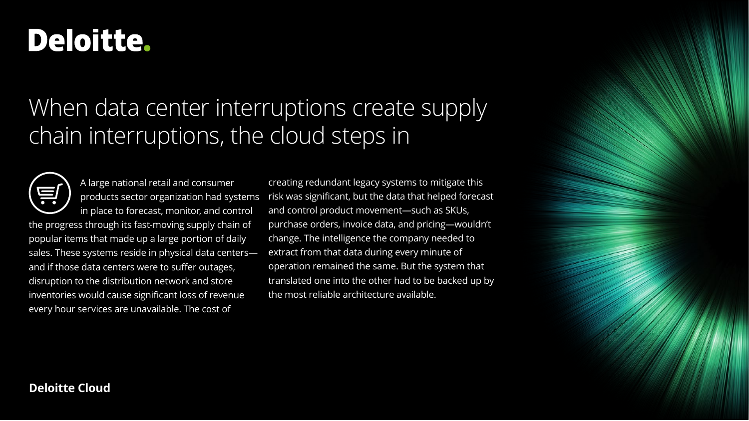# Deloitte.

## When data center interruptions create supply chain interruptions, the cloud steps in



A large national retail and consumer products sector organization had systems in place to forecast, monitor, and control

the progress through its fast-moving supply chain of popular items that made up a large portion of daily sales. These systems reside in physical data centers and if those data centers were to suffer outages, disruption to the distribution network and store inventories would cause significant loss of revenue every hour services are unavailable. The cost of

creating redundant legacy systems to mitigate this risk was significant, but the data that helped forecast and control product movement—such as SKUs, purchase orders, invoice data, and pricing—wouldn't change. The intelligence the company needed to extract from that data during every minute of operation remained the same. But the system that translated one into the other had to be backed up by the most reliable architecture available.

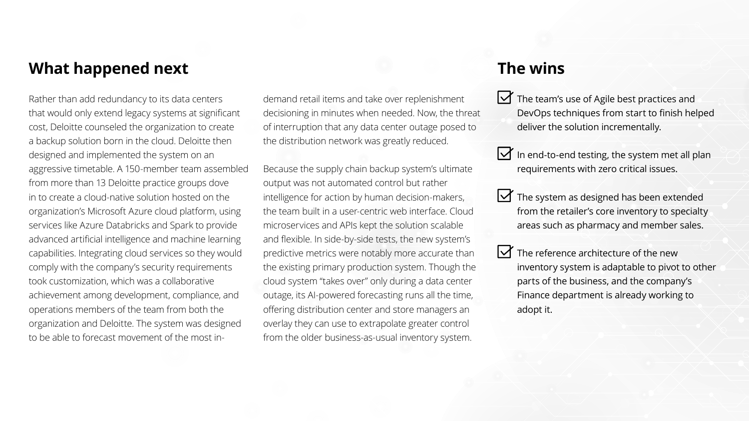## **What happened next**

Rather than add redundancy to its data centers that would only extend legacy systems at significant cost, Deloitte counseled the organization to create a backup solution born in the cloud. Deloitte then designed and implemented the system on an aggressive timetable. A 150-member team assembled from more than 13 Deloitte practice groups dove in to create a cloud-native solution hosted on the organization's Microsoft Azure cloud platform, using services like Azure Databricks and Spark to provide advanced artificial intelligence and machine learning capabilities. Integrating cloud services so they would comply with the company's security requirements took customization, which was a collaborative achievement among development, compliance, and operations members of the team from both the organization and Deloitte. The system was designed to be able to forecast movement of the most in-

demand retail items and take over replenishment decisioning in minutes when needed. Now, the threat of interruption that any data center outage posed to the distribution network was greatly reduced.

Because the supply chain backup system's ultimate output was not automated control but rather intelligence for action by human decision-makers, the team built in a user-centric web interface. Cloud microservices and APIs kept the solution scalable and flexible. In side-by-side tests, the new system's predictive metrics were notably more accurate than the existing primary production system. Though the cloud system "takes over" only during a data center outage, its AI-powered forecasting runs all the time, offering distribution center and store managers an overlay they can use to extrapolate greater control from the older business-as-usual inventory system.

## **The wins**

- $\triangleright$  The team's use of Agile best practices and DevOps techniques from start to finish helped deliver the solution incrementally.
- In end-to-end testing, the system met all plan requirements with zero critical issues.
- $\triangleright$  The system as designed has been extended from the retailer's core inventory to specialty areas such as pharmacy and member sales.
- $\bigvee$  The reference architecture of the new inventory system is adaptable to pivot to other parts of the business, and the company's Finance department is already working to adopt it.